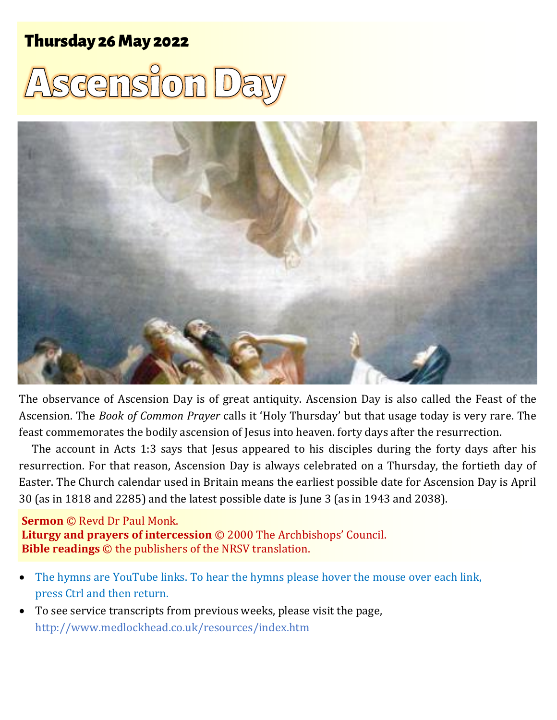# Thursday 26 May 2021 1 **Ascension Day** Thursday 26May 2022





The observance of Ascension Day is of great antiquity. Ascension Day is also called the Feast of the Ascension. The *Book of Common Prayer* calls it 'Holy Thursday' but that usage today is very rare. The feast commemorates the bodily ascension of Jesus into heaven. forty days after the resurrection.

The account in Acts 1:3 says that Jesus appeared to his disciples during the forty days after his resurrection. For that reason, Ascension Day is always celebrated on a Thursday, the fortieth day of Easter. The Church calendar used in Britain means the earliest possible date for Ascension Day is April 30 (as in 1818 and 2285) and the latest possible date is June 3 (as in 1943 and 2038).

**Sermon** © Revd Dr Paul Monk. **Liturgy and prayers of intercession** © 2000 The Archbishops' Council. **Bible readings** © the publishers of the NRSV translation.

- The hymns are YouTube links. To hear the hymns please hover the mouse over each link, press Ctrl and then return.
- To see service transcripts from previous weeks, please visit the page, <http://www.medlockhead.co.uk/resources/index.htm>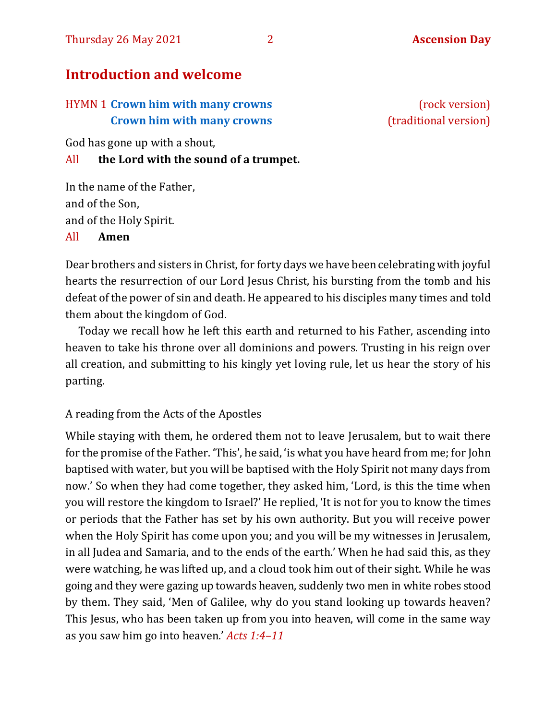## **Introduction and welcome**

#### HYMN 1 **[Crown him with many crowns](https://youtu.be/F8ti2-eoviU)** (rock version) **[Crown him with many crowns](https://www.youtube.com/watch?v=FiJYgC_6AFc&t=36s)** (traditional version)

God has gone up with a shout,

#### All **the Lord with the sound of a trumpet.**

In the name of the Father, and of the Son, and of the Holy Spirit.

#### All **Amen**

Dear brothers and sisters in Christ, for forty days we have been celebrating with joyful hearts the resurrection of our Lord Jesus Christ, his bursting from the tomb and his defeat of the power of sin and death. He appeared to his disciples many times and told them about the kingdom of God.

Today we recall how he left this earth and returned to his Father, ascending into heaven to take his throne over all dominions and powers. Trusting in his reign over all creation, and submitting to his kingly yet loving rule, let us hear the story of his parting.

#### A reading from the Acts of the Apostles

While staying with them, he ordered them not to leave Jerusalem, but to wait there for the promise of the Father. 'This', he said, 'is what you have heard from me; for John baptised with water, but you will be baptised with the Holy Spirit not many days from now.' So when they had come together, they asked him, 'Lord, is this the time when you will restore the kingdom to Israel?' He replied, 'It is not for you to know the times or periods that the Father has set by his own authority. But you will receive power when the Holy Spirit has come upon you; and you will be my witnesses in Jerusalem, in all Judea and Samaria, and to the ends of the earth.' When he had said this, as they were watching, he was lifted up, and a cloud took him out of their sight. While he was going and they were gazing up towards heaven, suddenly two men in white robes stood by them. They said, 'Men of Galilee, why do you stand looking up towards heaven? This Jesus, who has been taken up from you into heaven, will come in the same way as you saw him go into heaven.' *Acts 1:4–11*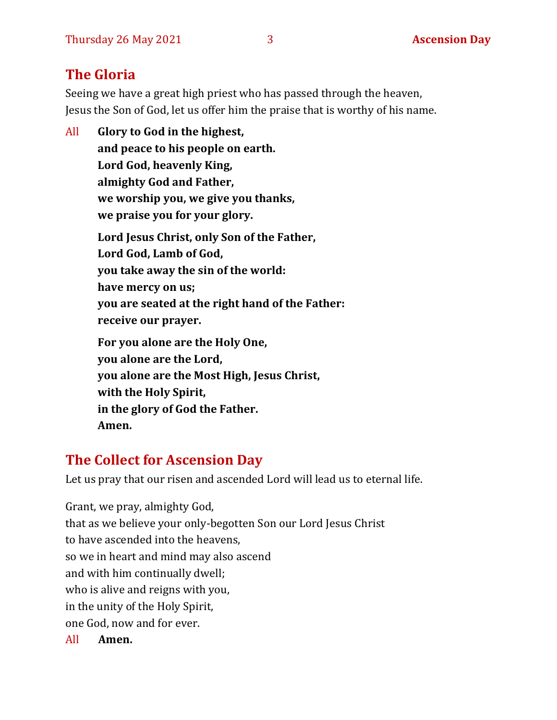# **The Gloria**

Seeing we have a great high priest who has passed through the heaven, Jesus the Son of God, let us offer him the praise that is worthy of his name.

All **Glory to God in the highest, and peace to his people on earth. Lord God, heavenly King, almighty God and Father, we worship you, we give you thanks, we praise you for your glory. Lord Jesus Christ, only Son of the Father, Lord God, Lamb of God, you take away the sin of the world: have mercy on us; you are seated at the right hand of the Father: receive our prayer. For you alone are the Holy One, you alone are the Lord, you alone are the Most High, Jesus Christ, with the Holy Spirit, in the glory of God the Father. Amen.**

# **The Collect for Ascension Day**

Let us pray that our risen and ascended Lord will lead us to eternal life.

Grant, we pray, almighty God, that as we believe your only-begotten Son our Lord Jesus Christ to have ascended into the heavens, so we in heart and mind may also ascend and with him continually dwell; who is alive and reigns with you, in the unity of the Holy Spirit, one God, now and for ever.

All **Amen.**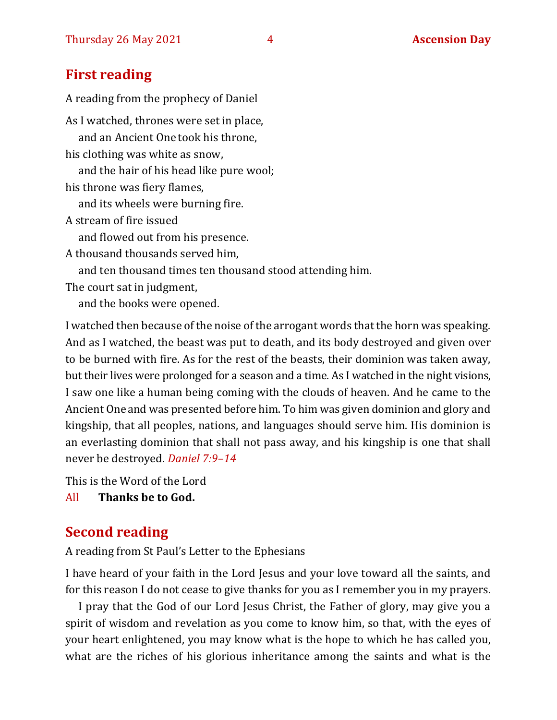### **First reading**

A reading from the prophecy of Daniel As I watched, thrones were set in place, and an Ancient One took his throne, his clothing was white as snow, and the hair of his head like pure wool; his throne was fiery flames, and its wheels were burning fire. A stream of fire issued and flowed out from his presence. A thousand thousands served him, and ten thousand times ten thousand stood attending him. The court sat in judgment, and the books were opened.

I watched then because of the noise of the arrogant words that the horn was speaking. And as I watched, the beast was put to death, and its body destroyed and given over to be burned with fire. As for the rest of the beasts, their dominion was taken away, but their lives were prolonged for a season and a time. As I watched in the night visions, I saw one like a human being coming with the clouds of heaven. And he came to the Ancient One and was presented before him. To him was given dominion and glory and kingship, that all peoples, nations, and languages should serve him. His dominion is an everlasting dominion that shall not pass away, and his kingship is one that shall never be destroyed. *Daniel 7:9–14*

This is the Word of the Lord

All **Thanks be to God.**

# **Second reading**

A reading from St Paul's Letter to the Ephesians

I have heard of your faith in the Lord Jesus and your love toward all the saints, and for this reason I do not cease to give thanks for you as I remember you in my prayers.

I pray that the God of our Lord Jesus Christ, the Father of glory, may give you a spirit of wisdom and revelation as you come to know him, so that, with the eyes of your heart enlightened, you may know what is the hope to which he has called you, what are the riches of his glorious inheritance among the saints and what is the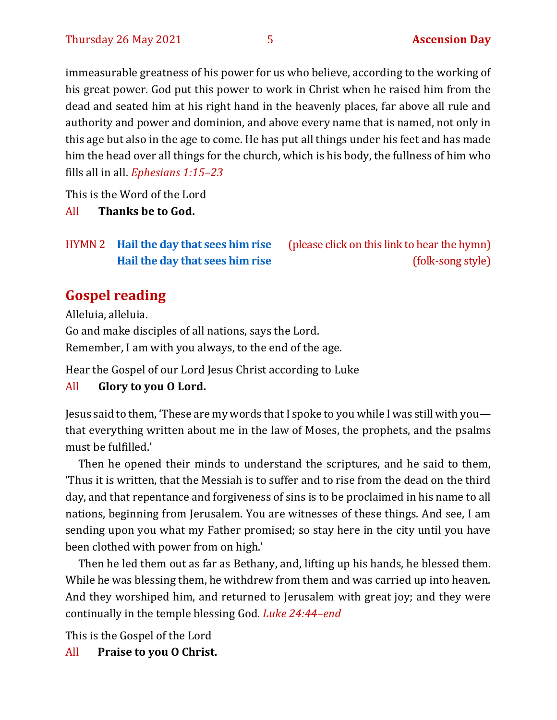immeasurable greatness of his power for us who believe, according to the working of his great power. God put this power to work in Christ when he raised him from the dead and seated him at his right hand in the heavenly places, far above all rule and authority and power and dominion, and above every name that is named, not only in this age but also in the age to come. He has put all things under his feet and has made him the head over all things for the church, which is his body, the fullness of him who fills all in all. *Ephesians 1:15–23*

This is the Word of the Lord

All **Thanks be to God.**

HYMN 2 **[Hail the day that sees him rise](https://www.youtube.com/watch?v=bPdRVzy8d8E)** (please click on this link to hear the hymn)

**[Hail the day that sees him rise](https://www.youtube.com/watch?v=piAZXs8IxAc)** (folk-song style)

# **Gospel reading**

Alleluia, alleluia. Go and make disciples of all nations, says the Lord. Remember, I am with you always, to the end of the age.

Hear the Gospel of our Lord Jesus Christ according to Luke

#### All **Glory to you O Lord.**

Jesus said to them, 'These are my words that I spoke to you while I was still with you that everything written about me in the law of Moses, the prophets, and the psalms must be fulfilled.'

Then he opened their minds to understand the scriptures, and he said to them, 'Thus it is written, that the Messiah is to suffer and to rise from the dead on the third day, and that repentance and forgiveness of sins is to be proclaimed in his name to all nations, beginning from Jerusalem. You are witnesses of these things. And see, I am sending upon you what my Father promised; so stay here in the city until you have been clothed with power from on high.'

Then he led them out as far as Bethany, and, lifting up his hands, he blessed them. While he was blessing them, he withdrew from them and was carried up into heaven. And they worshiped him, and returned to Jerusalem with great joy; and they were continually in the temple blessing God. *Luke 24:44–end*

This is the Gospel of the Lord

All **Praise to you O Christ.**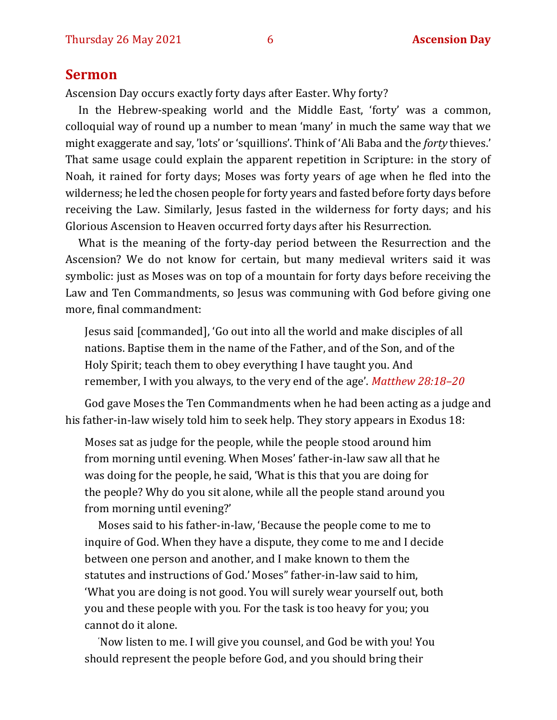#### **Sermon**

Ascension Day occurs exactly forty days after Easter. Why forty?

In the Hebrew-speaking world and the Middle East, 'forty' was a common, colloquial way of round up a number to mean 'many' in much the same way that we might exaggerate and say, 'lots' or 'squillions'. Think of 'Ali Baba and the *forty* thieves.' That same usage could explain the apparent repetition in Scripture: in the story of Noah, it rained for forty days; Moses was forty years of age when he fled into the wilderness; he led the chosen people for forty years and fasted before forty days before receiving the Law. Similarly, Jesus fasted in the wilderness for forty days; and his Glorious Ascension to Heaven occurred forty days after his Resurrection.

What is the meaning of the forty-day period between the Resurrection and the Ascension? We do not know for certain, but many medieval writers said it was symbolic: just as Moses was on top of a mountain for forty days before receiving the Law and Ten Commandments, so Jesus was communing with God before giving one more, final commandment:

Jesus said [commanded], 'Go out into all the world and make disciples of all nations. Baptise them in the name of the Father, and of the Son, and of the Holy Spirit; teach them to obey everything I have taught you. And remember, I with you always, to the very end of the age'. *Matthew 28:18–20*

God gave Moses the Ten Commandments when he had been acting as a judge and his father-in-law wisely told him to seek help. They story appears in Exodus 18:

Moses sat as judge for the people, while the people stood around him from morning until evening. When Moses' father-in-law saw all that he was doing for the people, he said, 'What is this that you are doing for the people? Why do you sit alone, while all the people stand around you from morning until evening?'

Moses said to his father-in-law, 'Because the people come to me to inquire of God. When they have a dispute, they come to me and I decide between one person and another, and I make known to them the statutes and instructions of God.' Moses" father-in-law said to him, 'What you are doing is not good. You will surely wear yourself out, both you and these people with you. For the task is too heavy for you; you cannot do it alone.

'Now listen to me. I will give you counsel, and God be with you! You should represent the people before God, and you should bring their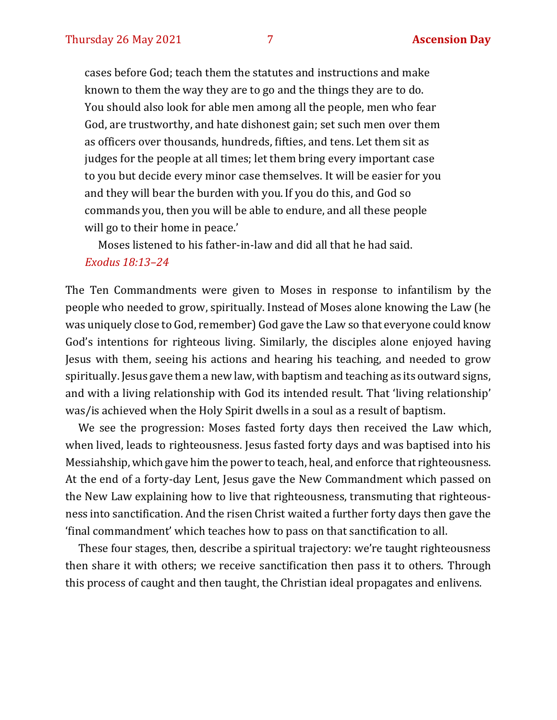cases before God; teach them the statutes and instructions and make known to them the way they are to go and the things they are to do. You should also look for able men among all the people, men who fear God, are trustworthy, and hate dishonest gain; set such men over them as officers over thousands, hundreds, fifties, and tens. Let them sit as judges for the people at all times; let them bring every important case to you but decide every minor case themselves. It will be easier for you and they will bear the burden with you.If you do this, and God so commands you, then you will be able to endure, and all these people will go to their home in peace.'

Moses listened to his father-in-law and did all that he had said. *Exodus 18:13–24*

The Ten Commandments were given to Moses in response to infantilism by the people who needed to grow, spiritually. Instead of Moses alone knowing the Law (he was uniquely close to God, remember) God gave the Law so that everyone could know God's intentions for righteous living. Similarly, the disciples alone enjoyed having Jesus with them, seeing his actions and hearing his teaching, and needed to grow spiritually. Jesus gave them a new law, with baptism and teaching as its outward signs, and with a living relationship with God its intended result. That 'living relationship' was/is achieved when the Holy Spirit dwells in a soul as a result of baptism.

We see the progression: Moses fasted forty days then received the Law which, when lived, leads to righteousness. Jesus fasted forty days and was baptised into his Messiahship, which gave him the power to teach, heal, and enforce that righteousness. At the end of a forty-day Lent, Jesus gave the New Commandment which passed on the New Law explaining how to live that righteousness, transmuting that righteousness into sanctification. And the risen Christ waited a further forty days then gave the 'final commandment' which teaches how to pass on that sanctification to all.

These four stages, then, describe a spiritual trajectory: we're taught righteousness then share it with others; we receive sanctification then pass it to others. Through this process of caught and then taught, the Christian ideal propagates and enlivens.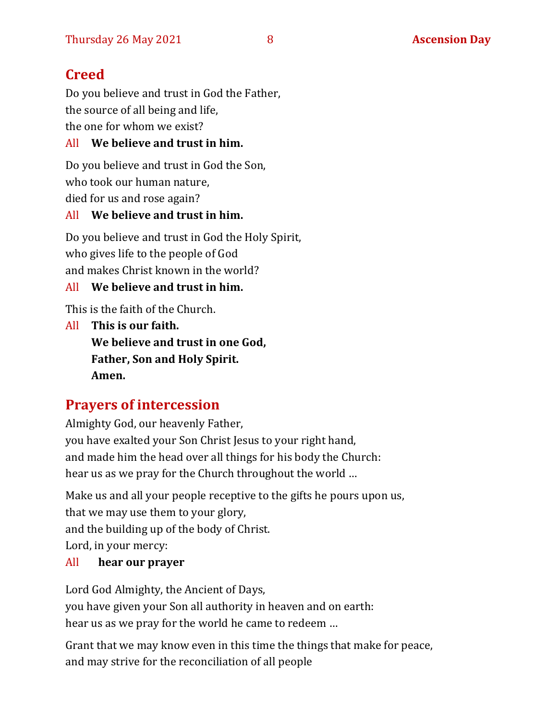# **Creed**

Do you believe and trust in God the Father, the source of all being and life, the one for whom we exist?

#### All **We believe and trust in him.**

Do you believe and trust in God the Son, who took our human nature, died for us and rose again?

#### All **We believe and trust in him.**

Do you believe and trust in God the Holy Spirit, who gives life to the people of God and makes Christ known in the world?

#### All **We believe and trust in him.**

This is the faith of the Church.

All **This is our faith. We believe and trust in one God, Father, Son and Holy Spirit. Amen.**

# **Prayers of intercession**

Almighty God, our heavenly Father, you have exalted your Son Christ Jesus to your right hand, and made him the head over all things for his body the Church: hear us as we pray for the Church throughout the world …

Make us and all your people receptive to the gifts he pours upon us, that we may use them to your glory, and the building up of the body of Christ. Lord, in your mercy:

#### All **hear our prayer**

Lord God Almighty, the Ancient of Days, you have given your Son all authority in heaven and on earth: hear us as we pray for the world he came to redeem …

Grant that we may know even in this time the things that make for peace, and may strive for the reconciliation of all people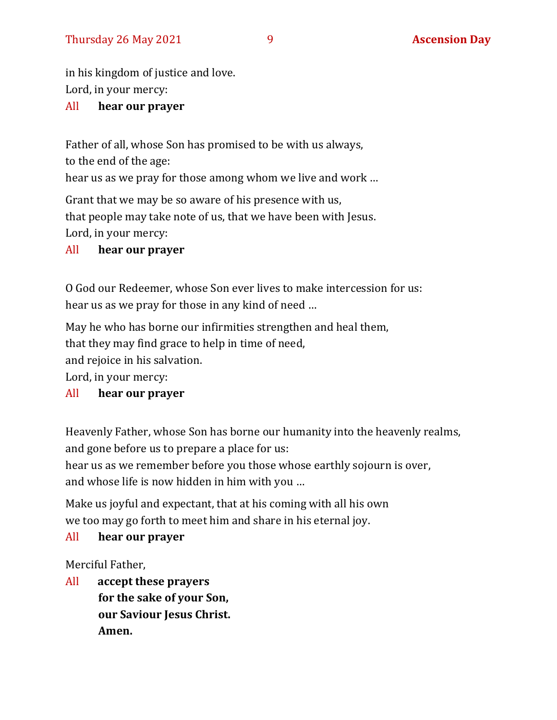in his kingdom of justice and love.

Lord, in your mercy:

#### All **hear our prayer**

Father of all, whose Son has promised to be with us always, to the end of the age: hear us as we pray for those among whom we live and work …

Grant that we may be so aware of his presence with us, that people may take note of us, that we have been with Jesus. Lord, in your mercy:

#### All **hear our prayer**

O God our Redeemer, whose Son ever lives to make intercession for us: hear us as we pray for those in any kind of need …

May he who has borne our infirmities strengthen and heal them, that they may find grace to help in time of need, and rejoice in his salvation.

Lord, in your mercy:

#### All **hear our prayer**

Heavenly Father, whose Son has borne our humanity into the heavenly realms, and gone before us to prepare a place for us:

hear us as we remember before you those whose earthly sojourn is over, and whose life is now hidden in him with you …

Make us joyful and expectant, that at his coming with all his own we too may go forth to meet him and share in his eternal joy.

#### All **hear our prayer**

Merciful Father,

All **accept these prayers for the sake of your Son, our Saviour Jesus Christ. Amen.**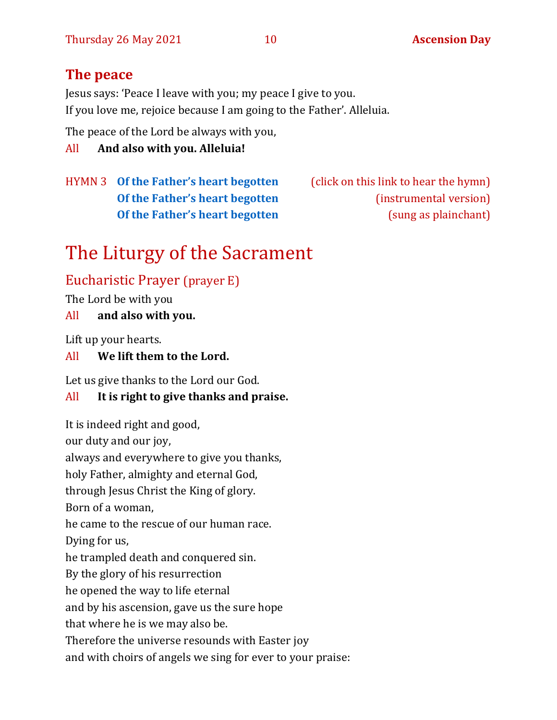## **The peace**

Jesus says: 'Peace I leave with you; my peace I give to you. If you love me, rejoice because I am going to the Father'. Alleluia.

The peace of the Lord be always with you,

All **And also with you. Alleluia!**

HYMN 3 **[Of the Father's heart begotten](https://www.youtube.com/watch?v=Pt75zI4kz6g)** (click on this link to hear the hymn)

**[Of the Father's heart begotten](https://www.youtube.com/watch?v=nK0fyVdf4Ms)** (instrumental version) **[Of the Father's heart begotten](https://www.youtube.com/watch?v=Fpsj25M1QdI)** (sung as plainchant)

# The Liturgy of the Sacrament

# Eucharistic Prayer (prayer E)

The Lord be with you

All **and also with you.**

Lift up your hearts.

### All **We lift them to the Lord.**

Let us give thanks to the Lord our God.

# All **It is right to give thanks and praise.**

It is indeed right and good, our duty and our joy, always and everywhere to give you thanks, holy Father, almighty and eternal God, through Jesus Christ the King of glory. Born of a woman, he came to the rescue of our human race. Dying for us, he trampled death and conquered sin. By the glory of his resurrection he opened the way to life eternal and by his ascension, gave us the sure hope that where he is we may also be. Therefore the universe resounds with Easter joy and with choirs of angels we sing for ever to your praise: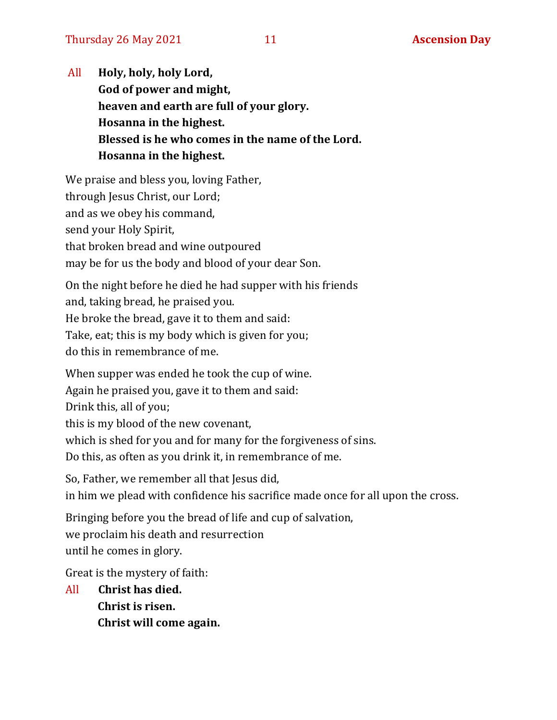All **Holy, holy, holy Lord, God of power and might, heaven and earth are full of your glory. Hosanna in the highest. Blessed is he who comes in the name of the Lord. Hosanna in the highest.**

We praise and bless you, loving Father, through Jesus Christ, our Lord: and as we obey his command, send your Holy Spirit, that broken bread and wine outpoured may be for us the body and blood of your dear Son.

On the night before he died he had supper with his friends and, taking bread, he praised you. He broke the bread, gave it to them and said: Take, eat; this is my body which is given for you; do this in remembrance of me.

When supper was ended he took the cup of wine. Again he praised you, gave it to them and said: Drink this, all of you; this is my blood of the new covenant, which is shed for you and for many for the forgiveness of sins. Do this, as often as you drink it, in remembrance of me.

So, Father, we remember all that Jesus did, in him we plead with confidence his sacrifice made once for all upon the cross.

Bringing before you the bread of life and cup of salvation, we proclaim his death and resurrection until he comes in glory.

Great is the mystery of faith:

All **Christ has died. Christ is risen. Christ will come again.**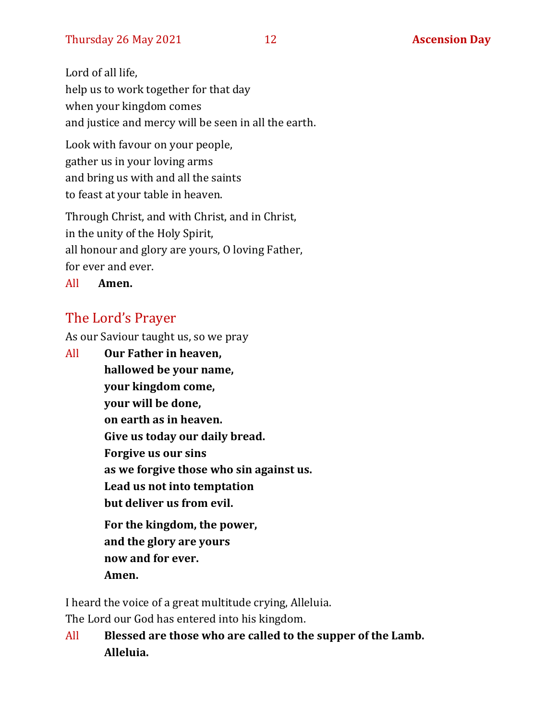Lord of all life, help us to work together for that day when your kingdom comes and justice and mercy will be seen in all the earth.

Look with favour on your people, gather us in your loving arms and bring us with and all the saints to feast at your table in heaven.

Through Christ, and with Christ, and in Christ, in the unity of the Holy Spirit, all honour and glory are yours, O loving Father, for ever and ever.

All **Amen.**

# The Lord's Prayer

As our Saviour taught us, so we pray

All **Our Father in heaven, hallowed be your name, your kingdom come, your will be done, on earth as in heaven. Give us today our daily bread. Forgive us our sins as we forgive those who sin against us. Lead us not into temptation but deliver us from evil. For the kingdom, the power, and the glory are yours**

> **now and for ever. Amen.**

I heard the voice of a great multitude crying, Alleluia.

The Lord our God has entered into his kingdom.

All **Blessed are those who are called to the supper of the Lamb. Alleluia.**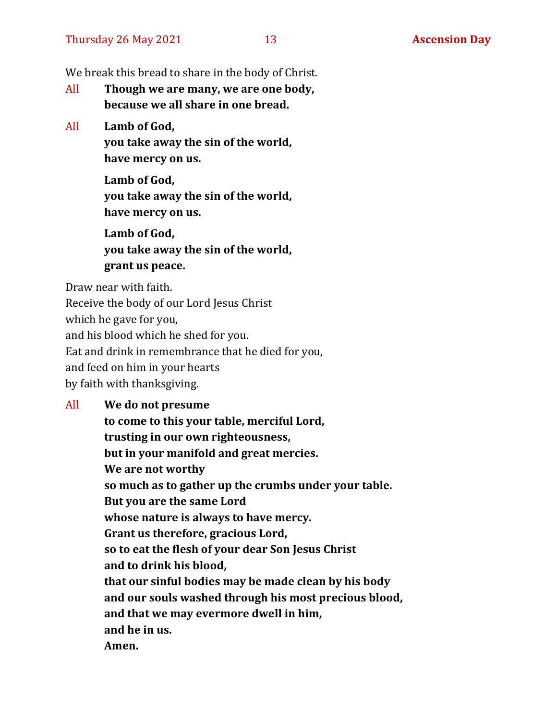We break this bread to share in the body of Christ.

- All **Though we are many, we are one body, because we all share in one bread.**
- All **Lamb of God,**

**you take away the sin of the world, have mercy on us.**

**Lamb of God, you take away the sin of the world, have mercy on us.**

**Lamb of God, you take away the sin of the world, grant us peace.**

Draw near with faith.

Receive the body of our Lord Jesus Christ

which he gave for you,

and his blood which he shed for you.

Eat and drink in remembrance that he died for you,

and feed on him in your hearts

by faith with thanksgiving.

All **We do not presume to come to this your table, merciful Lord, trusting in our own righteousness, but in your manifold and great mercies. We are not worthy so much as to gather up the crumbs under your table. But you are the same Lord whose nature is always to have mercy. Grant us therefore, gracious Lord, so to eat the flesh of your dear Son Jesus Christ and to drink his blood, that our sinful bodies may be made clean by his body and our souls washed through his most precious blood, and that we may evermore dwell in him, and he in us. Amen.**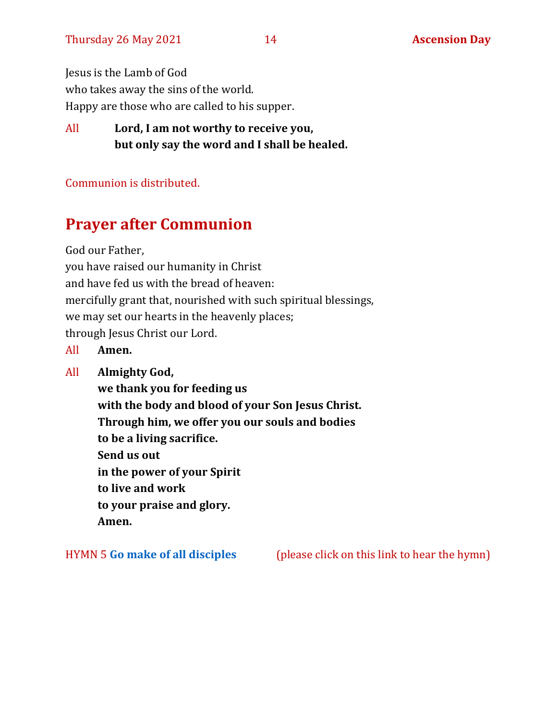Jesus is the Lamb of God who takes away the sins of the world. Happy are those who are called to his supper.

All **Lord, I am not worthy to receive you, but only say the word and I shall be healed.**

Communion is distributed.

# **Prayer after Communion**

God our Father,

you have raised our humanity in Christ and have fed us with the bread of heaven: mercifully grant that, nourished with such spiritual blessings, we may set our hearts in the heavenly places;

through Jesus Christ our Lord.

- All **Amen.**
- All **Almighty God,**

**we thank you for feeding us with the body and blood of your Son Jesus Christ. Through him, we offer you our souls and bodies to be a living sacrifice. Send us out in the power of your Spirit to live and work to your praise and glory. Amen.**

HYMN 5 **[Go make of all disciples](https://www.youtube.com/watch?v=XrHmgGJrMI8)** (please click on this link to hear the hymn)